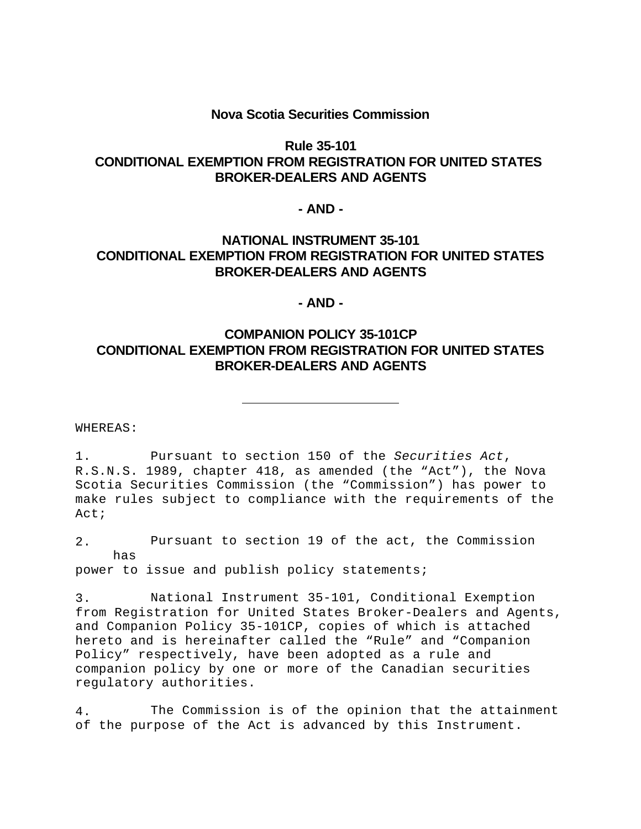# **Nova Scotia Securities Commission**

# **Rule 35-101 CONDITIONAL EXEMPTION FROM REGISTRATION FOR UNITED STATES BROKER-DEALERS AND AGENTS**

# **- AND -**

# **NATIONAL INSTRUMENT 35-101 CONDITIONAL EXEMPTION FROM REGISTRATION FOR UNITED STATES BROKER-DEALERS AND AGENTS**

# **- AND -**

# **COMPANION POLICY 35-101CP CONDITIONAL EXEMPTION FROM REGISTRATION FOR UNITED STATES BROKER-DEALERS AND AGENTS**

WHEREAS:

1. Pursuant to section 150 of the *Securities Act*, R.S.N.S. 1989, chapter 418, as amended (the "Act"), the Nova Scotia Securities Commission (the "Commission") has power to make rules subject to compliance with the requirements of the Act;

2. Pursuant to section 19 of the act, the Commission has

power to issue and publish policy statements;

3. National Instrument 35-101, Conditional Exemption from Registration for United States Broker-Dealers and Agents, and Companion Policy 35-101CP, copies of which is attached hereto and is hereinafter called the "Rule" and "Companion Policy" respectively, have been adopted as a rule and companion policy by one or more of the Canadian securities regulatory authorities.

4. The Commission is of the opinion that the attainment of the purpose of the Act is advanced by this Instrument.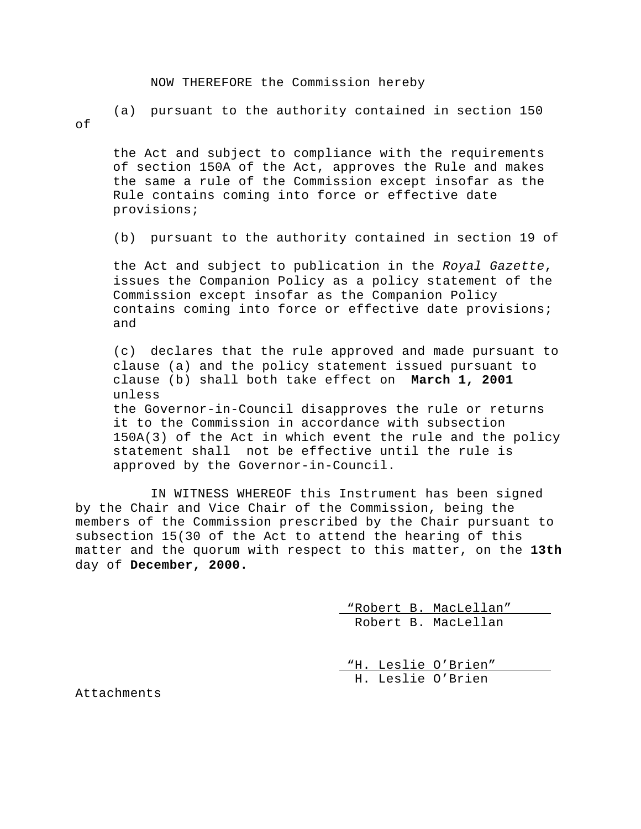NOW THEREFORE the Commission hereby

(a) pursuant to the authority contained in section 150 of

the Act and subject to compliance with the requirements of section 150A of the Act, approves the Rule and makes the same a rule of the Commission except insofar as the Rule contains coming into force or effective date provisions;

(b) pursuant to the authority contained in section 19 of

the Act and subject to publication in the *Royal Gazette*, issues the Companion Policy as a policy statement of the Commission except insofar as the Companion Policy contains coming into force or effective date provisions; and

(c) declares that the rule approved and made pursuant to clause (a) and the policy statement issued pursuant to clause (b) shall both take effect on **March 1, 2001** unless the Governor-in-Council disapproves the rule or returns it to the Commission in accordance with subsection 150A(3) of the Act in which event the rule and the policy statement shall not be effective until the rule is approved by the Governor-in-Council.

IN WITNESS WHEREOF this Instrument has been signed by the Chair and Vice Chair of the Commission, being the members of the Commission prescribed by the Chair pursuant to subsection 15(30 of the Act to attend the hearing of this matter and the quorum with respect to this matter, on the **13th** day of **December, 2000.**

> "Robert B. MacLellan" Robert B. MacLellan

 "H. Leslie O'Brien" H. Leslie O'Brien

Attachments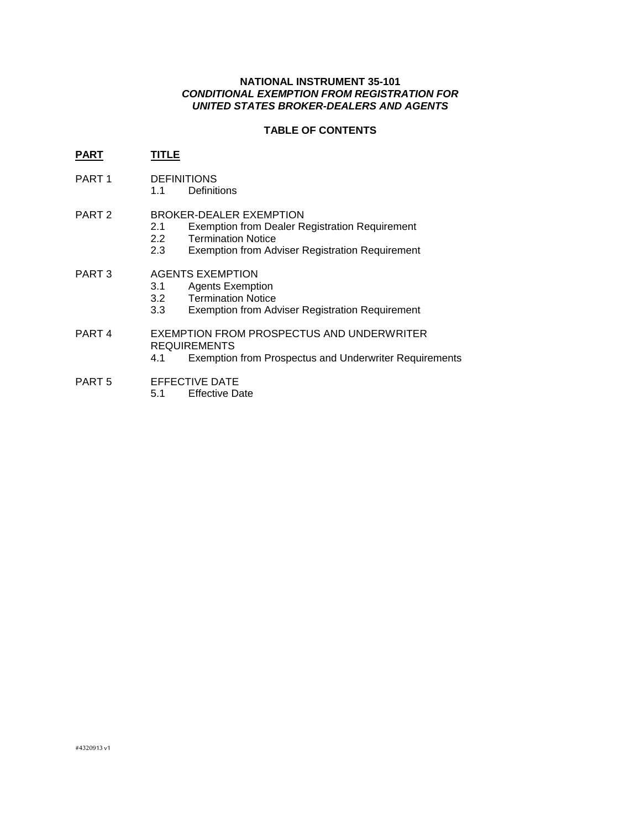### **NATIONAL INSTRUMENT 35-101** *CONDITIONAL EXEMPTION FROM REGISTRATION FOR UNITED STATES BROKER-DEALERS AND AGENTS*

### **TABLE OF CONTENTS**

### **PART TITLE**

- PART 1 DEFINITIONS
	- 1.1 Definitions

### PART 2 BROKER-DEALER EXEMPTION

- 2.1 Exemption from Dealer Registration Requirement
- - 2.2 Termination Notice<br>2.3 Exemption from Ad Exemption from Adviser Registration Requirement

### PART 3 AGENTS EXEMPTION

- 3.1 Agents Exemption<br>3.2 Termination Notice
- 3.2 Termination Notice<br>3.3 Exemption from Ad
- Exemption from Adviser Registration Requirement

#### PART 4 EXEMPTION FROM PROSPECTUS AND UNDERWRITER REQUIREMENTS<br>4.1 Exemption Exemption from Prospectus and Underwriter Requirements

- PART 5 EFFECTIVE DATE<br>5.1 Effective Da
	- **Effective Date**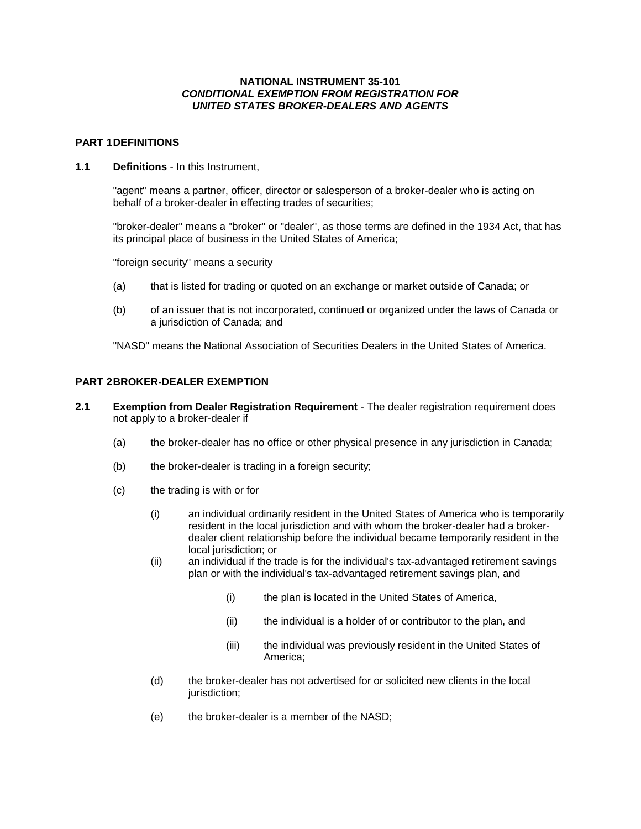### **NATIONAL INSTRUMENT 35-101** *CONDITIONAL EXEMPTION FROM REGISTRATION FOR UNITED STATES BROKER-DEALERS AND AGENTS*

### **PART 1DEFINITIONS**

### **1.1 Definitions** - In this Instrument,

"agent" means a partner, officer, director or salesperson of a broker-dealer who is acting on behalf of a broker-dealer in effecting trades of securities;

"broker-dealer" means a "broker" or "dealer", as those terms are defined in the 1934 Act, that has its principal place of business in the United States of America;

"foreign security" means a security

- (a) that is listed for trading or quoted on an exchange or market outside of Canada; or
- (b) of an issuer that is not incorporated, continued or organized under the laws of Canada or a jurisdiction of Canada; and

"NASD" means the National Association of Securities Dealers in the United States of America.

### **PART 2BROKER-DEALER EXEMPTION**

- **2.1 Exemption from Dealer Registration Requirement** The dealer registration requirement does not apply to a broker-dealer if
	- (a) the broker-dealer has no office or other physical presence in any jurisdiction in Canada;
	- (b) the broker-dealer is trading in a foreign security;
	- (c) the trading is with or for
		- (i) an individual ordinarily resident in the United States of America who is temporarily resident in the local jurisdiction and with whom the broker-dealer had a brokerdealer client relationship before the individual became temporarily resident in the local jurisdiction; or
		- (ii) an individual if the trade is for the individual's tax-advantaged retirement savings plan or with the individual's tax-advantaged retirement savings plan, and
			- (i) the plan is located in the United States of America,
			- (ii) the individual is a holder of or contributor to the plan, and
			- (iii) the individual was previously resident in the United States of America;
		- (d) the broker-dealer has not advertised for or solicited new clients in the local jurisdiction:
		- (e) the broker-dealer is a member of the NASD;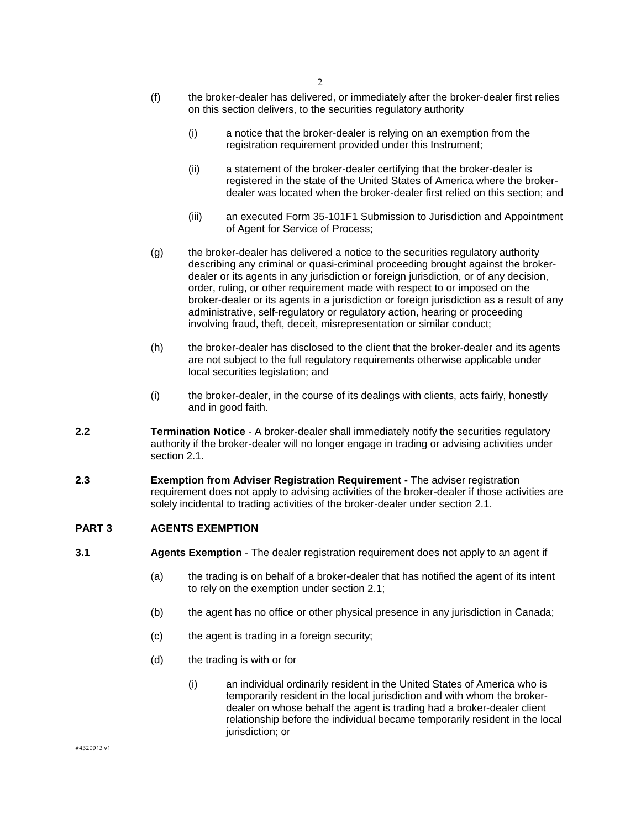- (f) the broker-dealer has delivered, or immediately after the broker-dealer first relies on this section delivers, to the securities regulatory authority
	- (i) a notice that the broker-dealer is relying on an exemption from the registration requirement provided under this Instrument;
	- (ii) a statement of the broker-dealer certifying that the broker-dealer is registered in the state of the United States of America where the brokerdealer was located when the broker-dealer first relied on this section; and
	- (iii) an executed Form 35-101F1 Submission to Jurisdiction and Appointment of Agent for Service of Process;
- (g) the broker-dealer has delivered a notice to the securities regulatory authority describing any criminal or quasi-criminal proceeding brought against the brokerdealer or its agents in any jurisdiction or foreign jurisdiction, or of any decision, order, ruling, or other requirement made with respect to or imposed on the broker-dealer or its agents in a jurisdiction or foreign jurisdiction as a result of any administrative, self-regulatory or regulatory action, hearing or proceeding involving fraud, theft, deceit, misrepresentation or similar conduct;
- (h) the broker-dealer has disclosed to the client that the broker-dealer and its agents are not subject to the full regulatory requirements otherwise applicable under local securities legislation; and
- (i) the broker-dealer, in the course of its dealings with clients, acts fairly, honestly and in good faith.
- **2.2 Termination Notice** A broker-dealer shall immediately notify the securities regulatory authority if the broker-dealer will no longer engage in trading or advising activities under section 2.1.
- **2.3 Exemption from Adviser Registration Requirement -** The adviser registration requirement does not apply to advising activities of the broker-dealer if those activities are solely incidental to trading activities of the broker-dealer under section 2.1.

#### **PART 3 AGENTS EXEMPTION**

- **3.1 Agents Exemption** The dealer registration requirement does not apply to an agent if
	- (a) the trading is on behalf of a broker-dealer that has notified the agent of its intent to rely on the exemption under section 2.1;
	- (b) the agent has no office or other physical presence in any jurisdiction in Canada;
	- (c) the agent is trading in a foreign security;
	- (d) the trading is with or for
		- (i) an individual ordinarily resident in the United States of America who is temporarily resident in the local jurisdiction and with whom the brokerdealer on whose behalf the agent is trading had a broker-dealer client relationship before the individual became temporarily resident in the local jurisdiction; or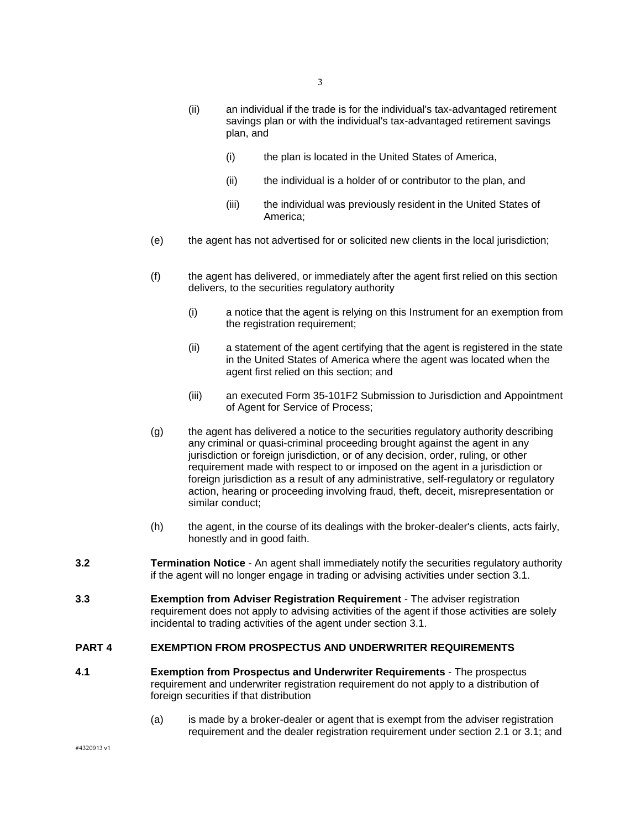- (ii) an individual if the trade is for the individual's tax-advantaged retirement savings plan or with the individual's tax-advantaged retirement savings plan, and
	- (i) the plan is located in the United States of America,
	- (ii) the individual is a holder of or contributor to the plan, and
	- (iii) the individual was previously resident in the United States of America;
- (e) the agent has not advertised for or solicited new clients in the local jurisdiction;
- (f) the agent has delivered, or immediately after the agent first relied on this section delivers, to the securities regulatory authority
	- (i) a notice that the agent is relying on this Instrument for an exemption from the registration requirement;
	- (ii) a statement of the agent certifying that the agent is registered in the state in the United States of America where the agent was located when the agent first relied on this section; and
	- (iii) an executed Form 35-101F2 Submission to Jurisdiction and Appointment of Agent for Service of Process;
- (g) the agent has delivered a notice to the securities regulatory authority describing any criminal or quasi-criminal proceeding brought against the agent in any jurisdiction or foreign jurisdiction, or of any decision, order, ruling, or other requirement made with respect to or imposed on the agent in a jurisdiction or foreign jurisdiction as a result of any administrative, self-regulatory or regulatory action, hearing or proceeding involving fraud, theft, deceit, misrepresentation or similar conduct;
- (h) the agent, in the course of its dealings with the broker-dealer's clients, acts fairly, honestly and in good faith.
- **3.2 Termination Notice** An agent shall immediately notify the securities regulatory authority if the agent will no longer engage in trading or advising activities under section 3.1.
- **3.3 Exemption from Adviser Registration Requirement**  The adviser registration requirement does not apply to advising activities of the agent if those activities are solely incidental to trading activities of the agent under section 3.1.

#### **PART 4 EXEMPTION FROM PROSPECTUS AND UNDERWRITER REQUIREMENTS**

- **4.1 Exemption from Prospectus and Underwriter Requirements** The prospectus requirement and underwriter registration requirement do not apply to a distribution of foreign securities if that distribution
	- (a) is made by a broker-dealer or agent that is exempt from the adviser registration requirement and the dealer registration requirement under section 2.1 or 3.1; and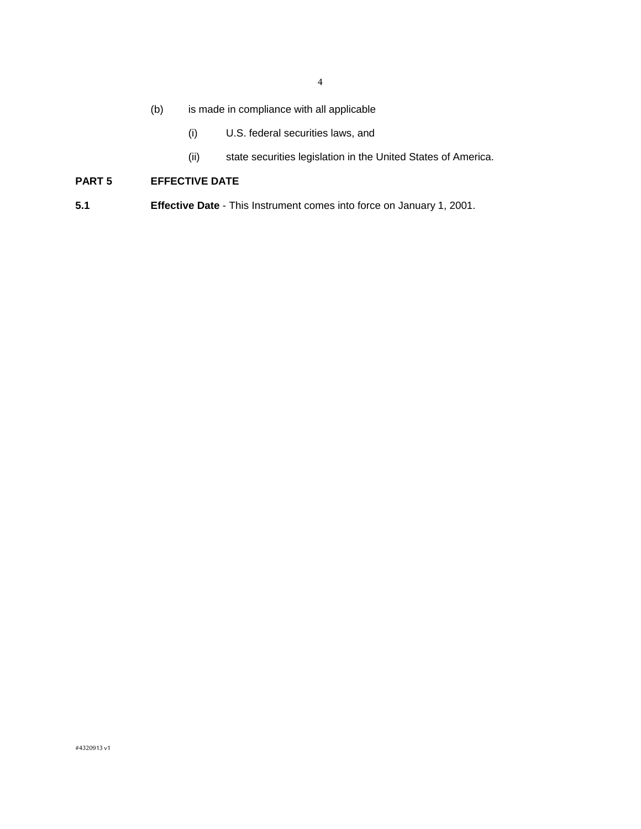4

# (b) is made in compliance with all applicable

- (i) U.S. federal securities laws, and
- (ii) state securities legislation in the United States of America.

### **PART 5 EFFECTIVE DATE**

**5.1 Effective Date** - This Instrument comes into force on January 1, 2001.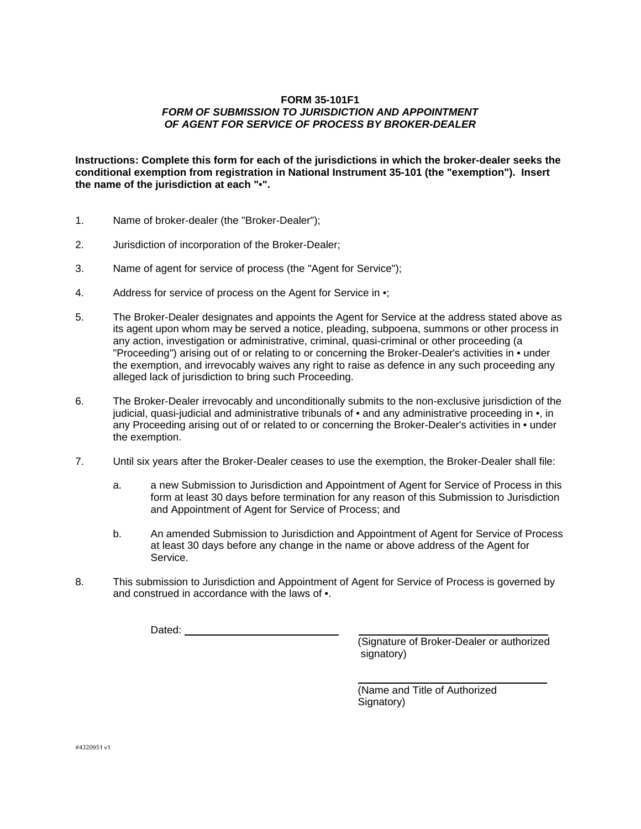### **FORM 35-101F1** *FORM OF SUBMISSION TO JURISDICTION AND APPOINTMENT OF AGENT FOR SERVICE OF PROCESS BY BROKER-DEALER*

**Instructions: Complete this form for each of the jurisdictions in which the broker-dealer seeks the conditional exemption from registration in National Instrument 35-101 (the "exemption"). Insert the name of the jurisdiction at each "•".**

- 1. Name of broker-dealer (the "Broker-Dealer");
- 2. Jurisdiction of incorporation of the Broker-Dealer;
- 3. Name of agent for service of process (the "Agent for Service");
- 4. Address for service of process on the Agent for Service in •;
- 5. The Broker-Dealer designates and appoints the Agent for Service at the address stated above as its agent upon whom may be served a notice, pleading, subpoena, summons or other process in any action, investigation or administrative, criminal, quasi-criminal or other proceeding (a "Proceeding") arising out of or relating to or concerning the Broker-Dealer's activities in • under the exemption, and irrevocably waives any right to raise as defence in any such proceeding any alleged lack of jurisdiction to bring such Proceeding.
- 6. The Broker-Dealer irrevocably and unconditionally submits to the non-exclusive jurisdiction of the judicial, quasi-judicial and administrative tribunals of • and any administrative proceeding in •, in any Proceeding arising out of or related to or concerning the Broker-Dealer's activities in • under the exemption.
- 7. Until six years after the Broker-Dealer ceases to use the exemption, the Broker-Dealer shall file:
	- a. a new Submission to Jurisdiction and Appointment of Agent for Service of Process in this form at least 30 days before termination for any reason of this Submission to Jurisdiction and Appointment of Agent for Service of Process; and
	- b. An amended Submission to Jurisdiction and Appointment of Agent for Service of Process at least 30 days before any change in the name or above address of the Agent for Service.
- 8. This submission to Jurisdiction and Appointment of Agent for Service of Process is governed by and construed in accordance with the laws of •.

Dated:

(Signature of Broker-Dealer or authorized signatory)

(Name and Title of Authorized Signatory)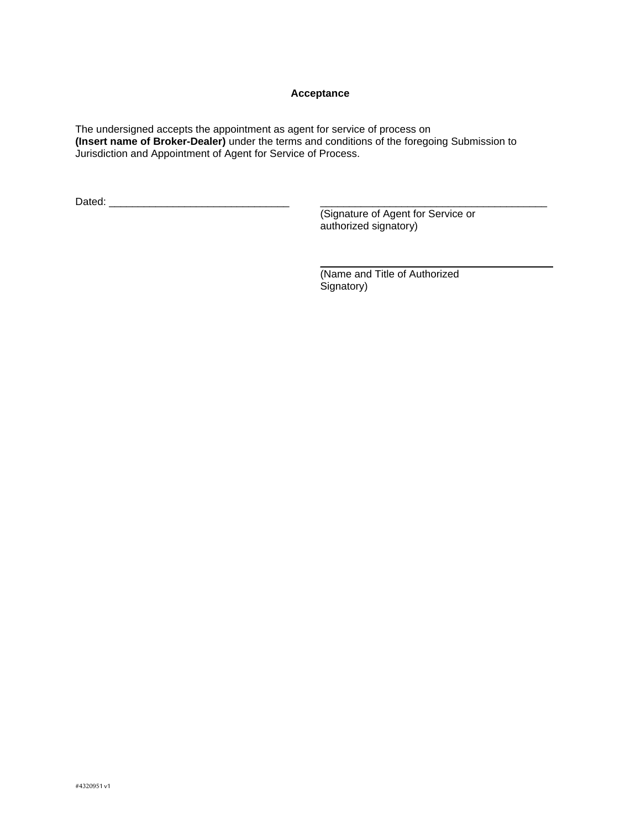## **Acceptance**

The undersigned accepts the appointment as agent for service of process on **(Insert name of Broker-Dealer)** under the terms and conditions of the foregoing Submission to Jurisdiction and Appointment of Agent for Service of Process.

Dated: \_\_\_\_\_\_\_\_\_\_\_\_\_\_\_\_\_\_\_\_\_\_\_\_\_\_\_\_\_\_\_ \_\_\_\_\_\_\_\_\_\_\_\_\_\_\_\_\_\_\_\_\_\_\_\_\_\_\_\_\_\_\_\_\_\_\_\_\_\_\_

(Signature of Agent for Service or authorized signatory)

\_\_\_\_\_\_\_\_\_\_\_\_\_\_\_\_\_\_\_\_\_\_\_\_\_\_\_\_\_\_\_\_\_\_\_\_\_\_\_\_

(Name and Title of Authorized Signatory)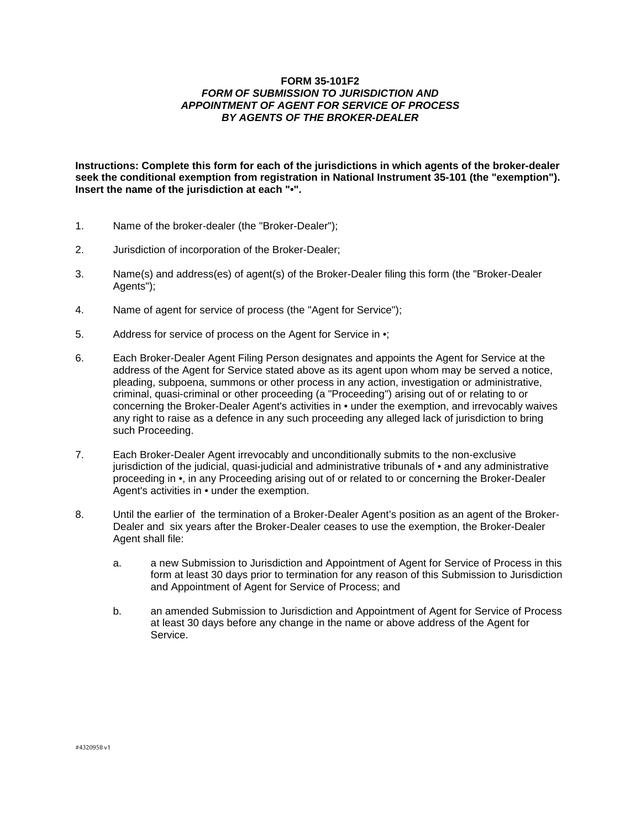### **FORM 35-101F2** *FORM OF SUBMISSION TO JURISDICTION AND APPOINTMENT OF AGENT FOR SERVICE OF PROCESS BY AGENTS OF THE BROKER-DEALER*

**Instructions: Complete this form for each of the jurisdictions in which agents of the broker-dealer seek the conditional exemption from registration in National Instrument 35-101 (the "exemption"). Insert the name of the jurisdiction at each "•".**

- 1. Name of the broker-dealer (the "Broker-Dealer");
- 2. Jurisdiction of incorporation of the Broker-Dealer;
- 3. Name(s) and address(es) of agent(s) of the Broker-Dealer filing this form (the "Broker-Dealer Agents");
- 4. Name of agent for service of process (the "Agent for Service");
- 5. Address for service of process on the Agent for Service in •;
- 6. Each Broker-Dealer Agent Filing Person designates and appoints the Agent for Service at the address of the Agent for Service stated above as its agent upon whom may be served a notice, pleading, subpoena, summons or other process in any action, investigation or administrative, criminal, quasi-criminal or other proceeding (a "Proceeding") arising out of or relating to or concerning the Broker-Dealer Agent's activities in • under the exemption, and irrevocably waives any right to raise as a defence in any such proceeding any alleged lack of jurisdiction to bring such Proceeding.
- 7. Each Broker-Dealer Agent irrevocably and unconditionally submits to the non-exclusive jurisdiction of the judicial, quasi-judicial and administrative tribunals of • and any administrative proceeding in •, in any Proceeding arising out of or related to or concerning the Broker-Dealer Agent's activities in • under the exemption.
- 8. Until the earlier of the termination of a Broker-Dealer Agent's position as an agent of the Broker-Dealer and six years after the Broker-Dealer ceases to use the exemption, the Broker-Dealer Agent shall file:
	- a. a new Submission to Jurisdiction and Appointment of Agent for Service of Process in this form at least 30 days prior to termination for any reason of this Submission to Jurisdiction and Appointment of Agent for Service of Process; and
	- b. an amended Submission to Jurisdiction and Appointment of Agent for Service of Process at least 30 days before any change in the name or above address of the Agent for Service.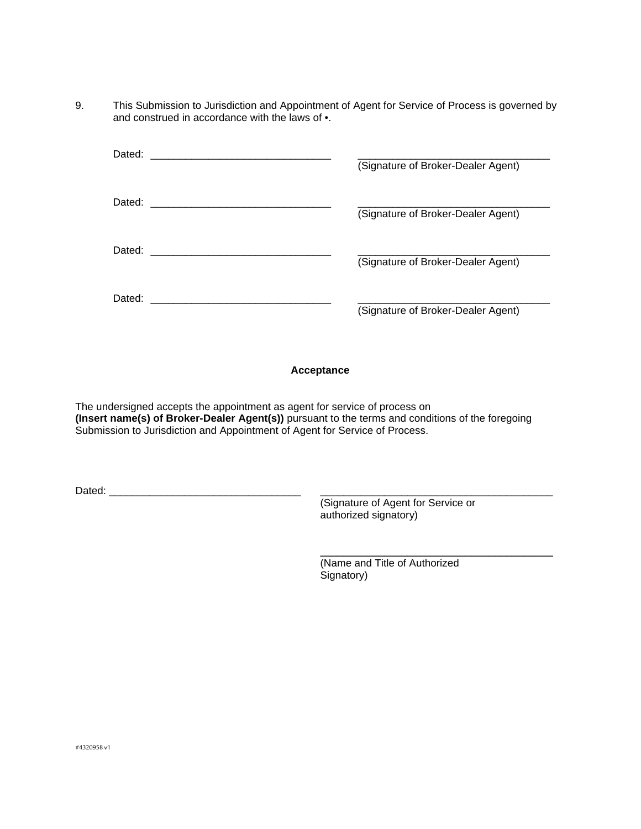9. This Submission to Jurisdiction and Appointment of Agent for Service of Process is governed by and construed in accordance with the laws of •.

| Dated: |                                    |
|--------|------------------------------------|
|        | (Signature of Broker-Dealer Agent) |
| Dated: |                                    |
|        | (Signature of Broker-Dealer Agent) |
|        |                                    |
| Dated: |                                    |
|        | (Signature of Broker-Dealer Agent) |
| Dated: |                                    |
|        | (Signature of Broker-Dealer Agent) |

### **Acceptance**

The undersigned accepts the appointment as agent for service of process on **(Insert name(s) of Broker-Dealer Agent(s))** pursuant to the terms and conditions of the foregoing Submission to Jurisdiction and Appointment of Agent for Service of Process.

Dated: \_\_\_\_\_\_\_\_\_\_\_\_\_\_\_\_\_\_\_\_\_\_\_\_\_\_\_\_\_\_\_\_\_ \_\_\_\_\_\_\_\_\_\_\_\_\_\_\_\_\_\_\_\_\_\_\_\_\_\_\_\_\_\_\_\_\_\_\_\_\_\_\_\_

(Signature of Agent for Service or authorized signatory)

\_\_\_\_\_\_\_\_\_\_\_\_\_\_\_\_\_\_\_\_\_\_\_\_\_\_\_\_\_\_\_\_\_\_\_\_\_\_\_\_

(Name and Title of Authorized Signatory)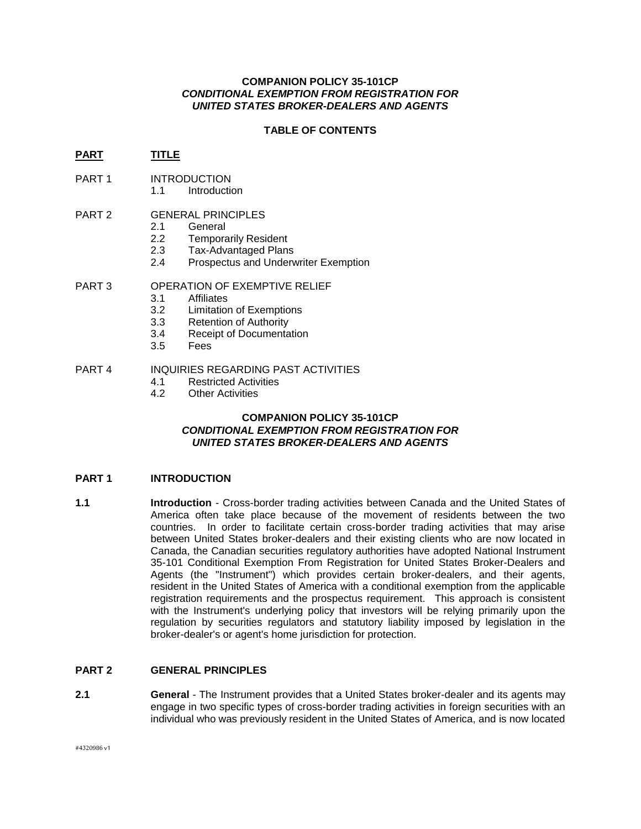### **COMPANION POLICY 35-101CP** *CONDITIONAL EXEMPTION FROM REGISTRATION FOR UNITED STATES BROKER-DEALERS AND AGENTS*

### **TABLE OF CONTENTS**

### **PART TITLE**

- PART 1 INTRODUCTION
	- 1.1 Introduction

### PART 2 GENERAL PRINCIPLES

- 2.1 General
- 2.2 Temporarily Resident
- 2.3 Tax-Advantaged Plans
- 2.4 Prospectus and Underwriter Exemption

#### PART 3 OPERATION OF EXEMPTIVE RELIEF

- 3.1 Affiliates
- 3.2 Limitation of Exemptions<br>3.3 Retention of Authority
- **Retention of Authority**
- 3.4 Receipt of Documentation
- 3.5 Fees

## PART 4 INQUIRIES REGARDING PAST ACTIVITIES

- 4.1 Restricted Activities
- 4.2 Other Activities

### **COMPANION POLICY 35-101CP** *CONDITIONAL EXEMPTION FROM REGISTRATION FOR UNITED STATES BROKER-DEALERS AND AGENTS*

### **PART 1 INTRODUCTION**

**1.1 Introduction** - Cross-border trading activities between Canada and the United States of America often take place because of the movement of residents between the two countries. In order to facilitate certain cross-border trading activities that may arise between United States broker-dealers and their existing clients who are now located in Canada, the Canadian securities regulatory authorities have adopted National Instrument 35-101 Conditional Exemption From Registration for United States Broker-Dealers and Agents (the "Instrument") which provides certain broker-dealers, and their agents, resident in the United States of America with a conditional exemption from the applicable registration requirements and the prospectus requirement. This approach is consistent with the Instrument's underlying policy that investors will be relying primarily upon the regulation by securities regulators and statutory liability imposed by legislation in the broker-dealer's or agent's home jurisdiction for protection.

## **PART 2 GENERAL PRINCIPLES**

**2.1 General** - The Instrument provides that a United States broker-dealer and its agents may engage in two specific types of cross-border trading activities in foreign securities with an individual who was previously resident in the United States of America, and is now located

#4320986 v1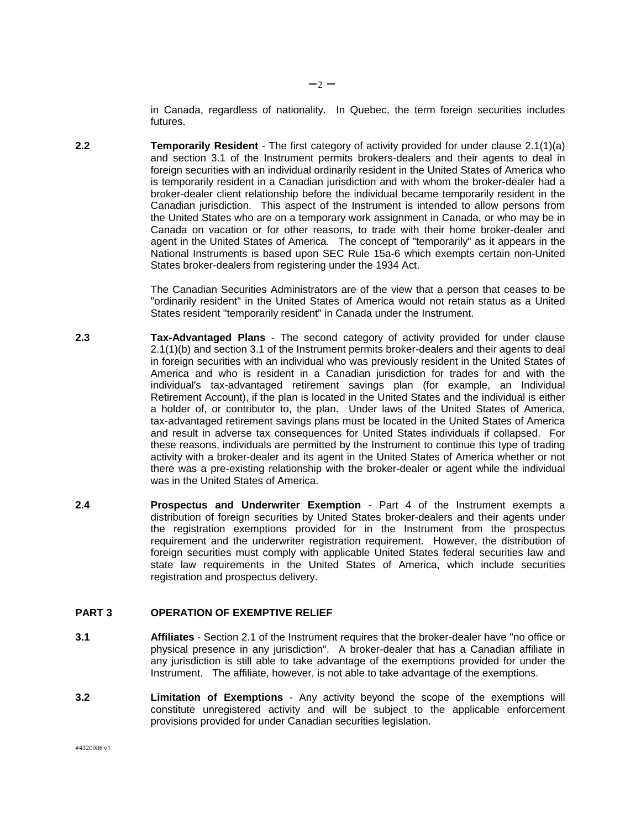in Canada, regardless of nationality. In Quebec, the term foreign securities includes futures.

**2.2 Temporarily Resident** - The first category of activity provided for under clause 2.1(1)(a) and section 3.1 of the Instrument permits brokers-dealers and their agents to deal in foreign securities with an individual ordinarily resident in the United States of America who is temporarily resident in a Canadian jurisdiction and with whom the broker-dealer had a broker-dealer client relationship before the individual became temporarily resident in the Canadian jurisdiction. This aspect of the Instrument is intended to allow persons from the United States who are on a temporary work assignment in Canada, or who may be in Canada on vacation or for other reasons, to trade with their home broker-dealer and agent in the United States of America. The concept of "temporarily" as it appears in the National Instruments is based upon SEC Rule 15a-6 which exempts certain non-United States broker-dealers from registering under the 1934 Act.

> The Canadian Securities Administrators are of the view that a person that ceases to be "ordinarily resident" in the United States of America would not retain status as a United States resident "temporarily resident" in Canada under the Instrument.

- **2.3 Tax-Advantaged Plans** The second category of activity provided for under clause 2.1(1)(b) and section 3.1 of the Instrument permits broker-dealers and their agents to deal in foreign securities with an individual who was previously resident in the United States of America and who is resident in a Canadian jurisdiction for trades for and with the individual's tax-advantaged retirement savings plan (for example, an Individual Retirement Account), if the plan is located in the United States and the individual is either a holder of, or contributor to, the plan. Under laws of the United States of America, tax-advantaged retirement savings plans must be located in the United States of America and result in adverse tax consequences for United States individuals if collapsed. For these reasons, individuals are permitted by the Instrument to continue this type of trading activity with a broker-dealer and its agent in the United States of America whether or not there was a pre-existing relationship with the broker-dealer or agent while the individual was in the United States of America.
- **2.4 Prospectus and Underwriter Exemption** Part 4 of the Instrument exempts a distribution of foreign securities by United States broker-dealers and their agents under the registration exemptions provided for in the Instrument from the prospectus requirement and the underwriter registration requirement. However, the distribution of foreign securities must comply with applicable United States federal securities law and state law requirements in the United States of America, which include securities registration and prospectus delivery.

#### **PART 3 OPERATION OF EXEMPTIVE RELIEF**

- **3.1 Affiliates** Section 2.1 of the Instrument requires that the broker-dealer have "no office or physical presence in any jurisdiction". A broker-dealer that has a Canadian affiliate in any jurisdiction is still able to take advantage of the exemptions provided for under the Instrument. The affiliate, however, is not able to take advantage of the exemptions.
- **3.2 Limitation of Exemptions** Any activity beyond the scope of the exemptions will constitute unregistered activity and will be subject to the applicable enforcement provisions provided for under Canadian securities legislation.

 $-2 -$ 

#4320986 v1